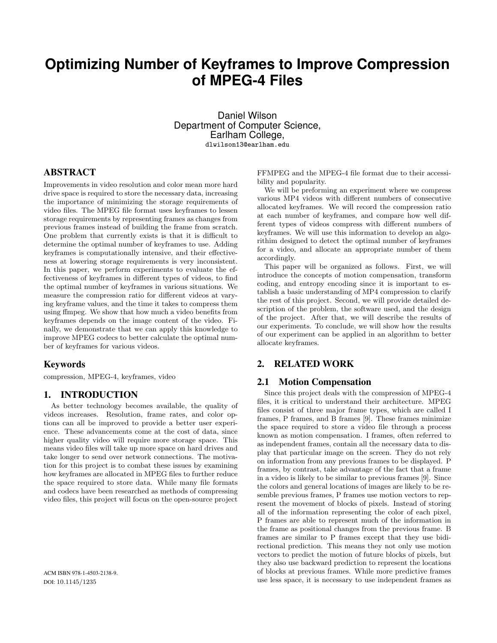# **Optimizing Number of Keyframes to Improve Compression of MPEG-4 Files**

Daniel Wilson Department of Computer Science, Earlham College, dlwilson13@earlham.edu

# ABSTRACT

Improvements in video resolution and color mean more hard drive space is required to store the necessary data, increasing the importance of minimizing the storage requirements of video files. The MPEG file format uses keyframes to lessen storage requirements by representing frames as changes from previous frames instead of building the frame from scratch. One problem that currently exists is that it is difficult to determine the optimal number of keyframes to use. Adding keyframes is computationally intensive, and their effectiveness at lowering storage requirements is very inconsistent. In this paper, we perform experiments to evaluate the effectiveness of keyframes in different types of videos, to find the optimal number of keyframes in various situations. We measure the compression ratio for different videos at varying keyframe values, and the time it takes to compress them using ffmpeg. We show that how much a video benefits from keyframes depends on the image content of the video. Finally, we demonstrate that we can apply this knowledge to improve MPEG codecs to better calculate the optimal number of keyframes for various videos.

#### Keywords

compression, MPEG-4, keyframes, video

### 1. INTRODUCTION

As better technology becomes available, the quality of videos increases. Resolution, frame rates, and color options can all be improved to provide a better user experience. These advancements come at the cost of data, since higher quality video will require more storage space. This means video files will take up more space on hard drives and take longer to send over network connections. The motivation for this project is to combat these issues by examining how keyframes are allocated in MPEG files to further reduce the space required to store data. While many file formats and codecs have been researched as methods of compressing video files, this project will focus on the open-source project

FFMPEG and the MPEG-4 file format due to their accessibility and popularity.

We will be preforming an experiment where we compress various MP4 videos with different numbers of consecutive allocated keyframes. We will record the compression ratio at each number of keyframes, and compare how well different types of videos compress with different numbers of keyframes. We will use this information to develop an algorithim designed to detect the optimal number of keyframes for a video, and allocate an appropriate number of them accordingly.

This paper will be organized as follows. First, we will introduce the concepts of motion compensation, transform coding, and entropy encoding since it is important to establish a basic understanding of MP4 compression to clarify the rest of this project. Second, we will provide detailed description of the problem, the software used, and the design of the project. After that, we will describe the results of our experiments. To conclude, we will show how the results of our experiment can be applied in an algorithm to better allocate keyframes.

## 2. RELATED WORK

## 2.1 Motion Compensation

Since this project deals with the compression of MPEG-4 files, it is critical to understand their architecture. MPEG files consist of three major frame types, which are called I frames, P frames, and B frames [9]. These frames minimize the space required to store a video file through a process known as motion compensation. I frames, often referred to as independent frames, contain all the necessary data to display that particular image on the screen. They do not rely on information from any previous frames to be displayed. P frames, by contrast, take advantage of the fact that a frame in a video is likely to be similar to previous frames [9]. Since the colors and general locations of images are likely to be resemble previous frames, P frames use motion vectors to represent the movement of blocks of pixels. Instead of storing all of the information representing the color of each pixel, P frames are able to represent much of the information in the frame as positional changes from the previous frame. B frames are similar to P frames except that they use bidirectional prediction. This means they not only use motion vectors to predict the motion of future blocks of pixels, but they also use backward prediction to represent the locations of blocks at previous frames. While more predictive frames use less space, it is necessary to use independent frames as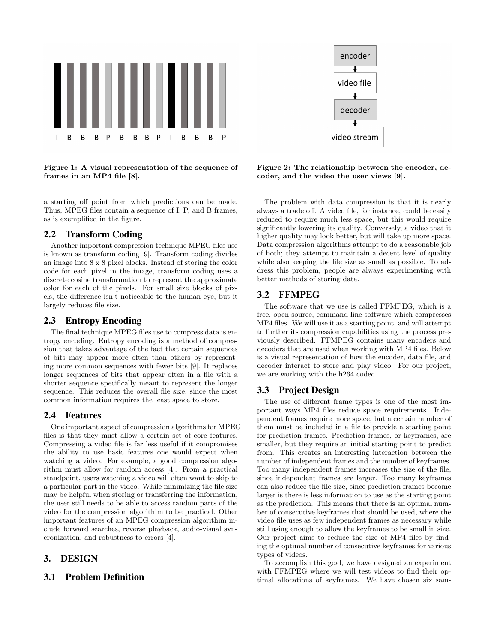

Figure 1: A visual representation of the sequence of frames in an MP4 file [8].

a starting off point from which predictions can be made. Thus, MPEG files contain a sequence of I, P, and B frames, as is exemplified in the figure.

## 2.2 Transform Coding

Another important compression technique MPEG files use is known as transform coding [9]. Transform coding divides an image into 8 x 8 pixel blocks. Instead of storing the color code for each pixel in the image, transform coding uses a discrete cosine transformation to represent the approximate color for each of the pixels. For small size blocks of pixels, the difference isn't noticeable to the human eye, but it largely reduces file size.

#### 2.3 Entropy Encoding

The final technique MPEG files use to compress data is entropy encoding. Entropy encoding is a method of compression that takes advantage of the fact that certain sequences of bits may appear more often than others by representing more common sequences with fewer bits [9]. It replaces longer sequences of bits that appear often in a file with a shorter sequence specifically meant to represent the longer sequence. This reduces the overall file size, since the most common information requires the least space to store.

### 2.4 Features

One important aspect of compression algorithms for MPEG files is that they must allow a certain set of core features. Compressing a video file is far less useful if it compromises the ability to use basic features one would expect when watching a video. For example, a good compression algorithm must allow for random access [4]. From a practical standpoint, users watching a video will often want to skip to a particular part in the video. While minimizing the file size may be helpful when storing or transferring the information, the user still needs to be able to access random parts of the video for the compression algorithim to be practical. Other important features of an MPEG compression algorithim include forward searches, reverse playback, audio-visual syncronization, and robustness to errors [4].

#### 3. DESIGN

#### 3.1 Problem Definition



Figure 2: The relationship between the encoder, decoder, and the video the user views [9].

The problem with data compression is that it is nearly always a trade off. A video file, for instance, could be easily reduced to require much less space, but this would require significantly lowering its quality. Conversely, a video that it higher quality may look better, but will take up more space. Data compression algorithms attempt to do a reasonable job of both; they attempt to maintain a decent level of quality while also keeping the file size as small as possible. To address this problem, people are always experimenting with better methods of storing data.

### 3.2 FFMPEG

The software that we use is called FFMPEG, which is a free, open source, command line software which compresses MP4 files. We will use it as a starting point, and will attempt to further its compression capabilities using the process previously described. FFMPEG contains many encoders and decoders that are used when working with MP4 files. Below is a visual representation of how the encoder, data file, and decoder interact to store and play video. For our project, we are working with the h264 codec.

#### 3.3 Project Design

The use of different frame types is one of the most important ways MP4 files reduce space requirements. Independent frames require more space, but a certain number of them must be included in a file to provide a starting point for prediction frames. Prediction frames, or keyframes, are smaller, but they require an initial starting point to predict from. This creates an interesting interaction between the number of independent frames and the number of keyframes. Too many independent frames increases the size of the file, since independent frames are larger. Too many keyframes can also reduce the file size, since prediction frames become larger is there is less information to use as the starting point as the prediction. This means that there is an optimal number of consecutive keyframes that should be used, where the video file uses as few independent frames as necessary while still using enough to allow the keyframes to be small in size. Our project aims to reduce the size of MP4 files by finding the optimal number of consecutive keyframes for various types of videos.

To accomplish this goal, we have designed an experiment with FFMPEG where we will test videos to find their optimal allocations of keyframes. We have chosen six sam-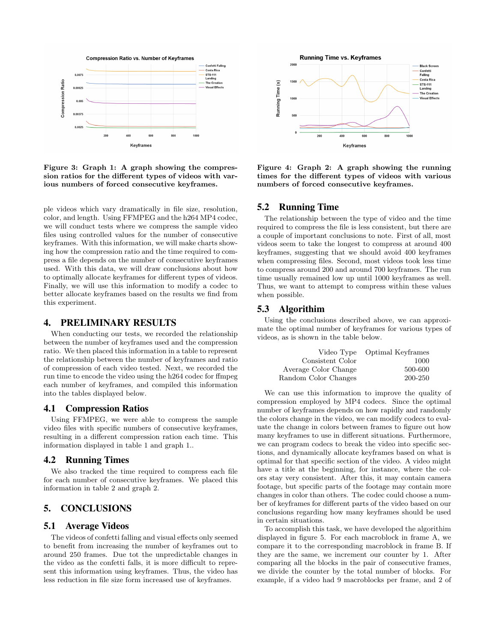

Figure 3: Graph 1: A graph showing the compression ratios for the different types of videos with various numbers of forced consecutive keyframes.

ple videos which vary dramatically in file size, resolution, color, and length. Using FFMPEG and the h264 MP4 codec, we will conduct tests where we compress the sample video files using controlled values for the number of consecutive keyframes. With this information, we will make charts showing how the compression ratio and the time required to compress a file depends on the number of consecutive keyframes used. With this data, we will draw conclusions about how to optimally allocate keyframes for different types of videos. Finally, we will use this information to modify a codec to better allocate keyframes based on the results we find from this experiment.

### 4. PRELIMINARY RESULTS

When conducting our tests, we recorded the relationship between the number of keyframes used and the compression ratio. We then placed this information in a table to represent the relationship between the number of keyframes and ratio of compression of each video tested. Next, we recorded the run time to encode the video using the h264 codec for ffmpeg each number of keyframes, and compiled this information into the tables displayed below.

#### 4.1 Compression Ratios

Using FFMPEG, we were able to compress the sample video files with specific numbers of consecutive keyframes, resulting in a different compression ration each time. This information displayed in table 1 and graph 1..

#### 4.2 Running Times

We also tracked the time required to compress each file for each number of consecutive keyframes. We placed this information in table 2 and graph 2.

# 5. CONCLUSIONS

### 5.1 Average Videos

The videos of confetti falling and visual effects only seemed to benefit from increasing the number of keyframes out to around 250 frames. Due tot the unpredictable changes in the video as the confetti falls, it is more difficult to represent this information using keyframes. Thus, the video has less reduction in file size form increased use of keyframes.



Figure 4: Graph 2: A graph showing the running times for the different types of videos with various numbers of forced consecutive keyframes.

#### 5.2 Running Time

The relationship between the type of video and the time required to compress the file is less consistent, but there are a couple of important conclusions to note. First of all, most videos seem to take the longest to compress at around 400 keyframes, suggesting that we should avoid 400 keyframes when compressing files. Second, most videos took less time to compress around 200 and around 700 keyframes. The run time usually remained low up until 1000 keyframes as well. Thus, we want to attempt to compress within these values when possible.

#### 5.3 Algorithim

Using the conclusions described above, we can approximate the optimal number of keyframes for various types of videos, as is shown in the table below.

|                      | Video Type Optimal Keyframes |
|----------------------|------------------------------|
| Consistent Color     | 1000                         |
| Average Color Change | 500-600                      |
| Random Color Changes | 200-250                      |

We can use this information to improve the quality of compression employed by MP4 codecs. Since the optimal number of keyframes depends on how rapidly and randomly the colors change in the video, we can modify codecs to evaluate the change in colors between frames to figure out how many keyframes to use in different situations. Furthermore, we can program codecs to break the video into specific sections, and dynamically allocate keyframes based on what is optimal for that specific section of the video. A video might have a title at the beginning, for instance, where the colors stay very consistent. After this, it may contain camera footage, but specific parts of the footage may contain more changes in color than others. The codec could choose a number of keyframes for different parts of the video based on our conclusions regarding how many keyframes should be used in certain situations.

To accomplish this task, we have developed the algorithim displayed in figure 5. For each macroblock in frame A, we compare it to the corresponding macroblock in frame B. If they are the same, we increment our counter by 1. After comparing all the blocks in the pair of consecutive frames, we divide the counter by the total number of blocks. For example, if a video had 9 macroblocks per frame, and 2 of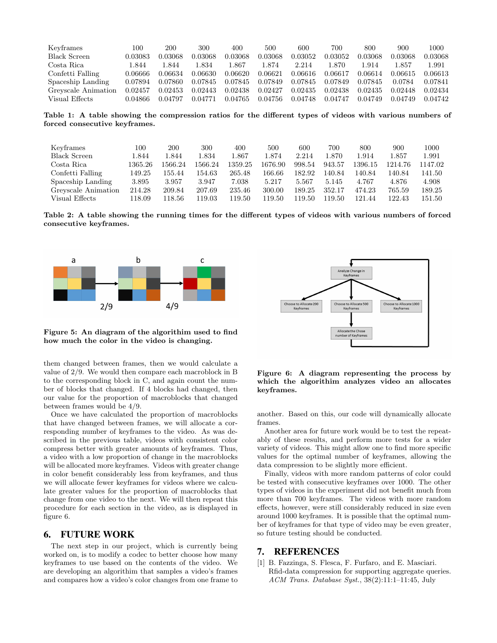| Keyframes           | 100                  | 200     | 300     | 400     | 500     | 600     | 700     | 800     | 900     | 1000    |
|---------------------|----------------------|---------|---------|---------|---------|---------|---------|---------|---------|---------|
| <b>Black Screen</b> | 0.03083              | 0.03068 | 0.03068 | 0.03068 | 0.03068 | 0.03052 | 0.03052 | 0.03068 | 0.03068 | 0.03068 |
| Costa Rica          | 844.                 | 1.844   | 1.834   | 1.867   | 1.874   | 2.214   | 870     | 1.914   | 1.857   | 1.991   |
| Confetti Falling    | 0.06666              | 0.06634 | 0.06630 | 0.06620 | 0.06621 | 0.06616 | 0.06617 | 0.06614 | 0.06615 | 0.06613 |
| Spaceship Landing   | 0.07894              | 0.07860 | 0.07845 | 0.07845 | 0.07849 | 0.07845 | 0.07849 | 0.07845 | 0.0784  | 0.07841 |
| Greyscale Animation | $\phantom{-}0.02457$ | 0.02453 | 0.02443 | 0.02438 | 0.02427 | 0.02435 | 0.02438 | 0.02435 | 0.02448 | 0.02434 |
| Visual Effects      | 0.04866              | 0.04797 | 0.04771 | 0.04765 | 0.04756 | 0.04748 | 0.04747 | 0.04749 | 0.04749 | 0.04742 |

Table 1: A table showing the compression ratios for the different types of videos with various numbers of forced consecutive keyframes.

| Keyframes           | 100     | 200     | 300     | 400     | 500     | 600    | 700    | 800     | 900     | 1000   |
|---------------------|---------|---------|---------|---------|---------|--------|--------|---------|---------|--------|
| <b>Black Screen</b> | 1.844   | 1.844   | l.834   | l.867   | 1.874   | 2.214  | l.870  | 1.914   | 1.857   | 1.991  |
| Costa Rica          | 1365.26 | 1566.24 | 1566.24 | 1359.25 | 1676.90 | 998.54 | 943.57 | 1396.15 | 1214.76 | 147.02 |
| Confetti Falling    | 149.25  | 155.44  | 154.63  | 265.48  | 166.66  | 182.92 | 140.84 | 140.84  | 140.84  | 141.50 |
| Spaceship Landing   | 3.895   | 3.957   | 3.947   | 7.038   | 5.217   | 5.567  | 5.145  | 4.767   | 4.876   | 4.908  |
| Greyscale Animation | 214.28  | 209.84  | 207.69  | 235.46  | 300.00  | 189.25 | 352.17 | 474.23  | 765.59  | 189.25 |
| Visual Effects      | 118.09  | 118.56  | 119.03  | 19.50   | 119.50  | 119.50 | 119.50 | 121.44  | 122.43  | 151.50 |

Table 2: A table showing the running times for the different types of videos with various numbers of forced consecutive keyframes.



Figure 5: An diagram of the algorithim used to find how much the color in the video is changing.

them changed between frames, then we would calculate a value of 2/9. We would then compare each macroblock in B to the corresponding block in C, and again count the number of blocks that changed. If 4 blocks had changed, then our value for the proportion of macroblocks that changed between frames would be 4/9.

Once we have calculated the proportion of macroblocks that have changed between frames, we will allocate a corresponding number of keyframes to the video. As was described in the previous table, videos with consistent color compress better with greater amounts of keyframes. Thus, a video with a low proportion of change in the macroblocks will be allocated more keyframes. Videos with greater change in color benefit considerably less from keyframes, and thus we will allocate fewer keyframes for videos where we calculate greater values for the proportion of macroblocks that change from one video to the next. We will then repeat this procedure for each section in the video, as is displayed in figure 6.

#### 6. FUTURE WORK

The next step in our project, which is currently being worked on, is to modify a codec to better choose how many keyframes to use based on the contents of the video. We are developing an algorithim that samples a video's frames and compares how a video's color changes from one frame to



Figure 6: A diagram representing the process by which the algorithim analyzes video an allocates keyframes.

another. Based on this, our code will dynamically allocate frames.

Another area for future work would be to test the repeatably of these results, and perform more tests for a wider variety of videos. This might allow one to find more specific values for the optimal number of keyframes, allowing the data compression to be slightly more efficient.

Finally, videos with more random patterns of color could be tested with consecutive keyframes over 1000. The other types of videos in the experiment did not benefit much from more than 700 keyframes. The videos with more random effects, however, were still considerably reduced in size even around 1000 keyframes. It is possible that the optimal number of keyframes for that type of video may be even greater, so future testing should be conducted.

#### 7. REFERENCES

[1] B. Fazzinga, S. Flesca, F. Furfaro, and E. Masciari. Rfid-data compression for supporting aggregate queries. ACM Trans. Database Syst., 38(2):11:1–11:45, July